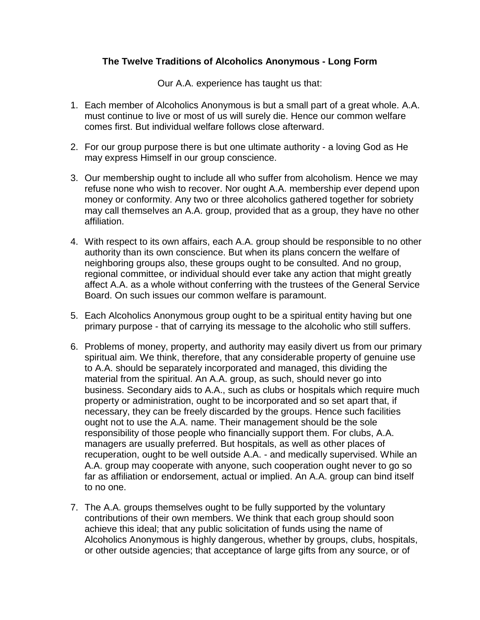## **The Twelve Traditions of Alcoholics Anonymous - Long Form**

Our A.A. experience has taught us that:

- 1. Each member of Alcoholics Anonymous is but a small part of a great whole. A.A. must continue to live or most of us will surely die. Hence our common welfare comes first. But individual welfare follows close afterward.
- 2. For our group purpose there is but one ultimate authority a loving God as He may express Himself in our group conscience.
- 3. Our membership ought to include all who suffer from alcoholism. Hence we may refuse none who wish to recover. Nor ought A.A. membership ever depend upon money or conformity. Any two or three alcoholics gathered together for sobriety may call themselves an A.A. group, provided that as a group, they have no other affiliation.
- 4. With respect to its own affairs, each A.A. group should be responsible to no other authority than its own conscience. But when its plans concern the welfare of neighboring groups also, these groups ought to be consulted. And no group, regional committee, or individual should ever take any action that might greatly affect A.A. as a whole without conferring with the trustees of the General Service Board. On such issues our common welfare is paramount.
- 5. Each Alcoholics Anonymous group ought to be a spiritual entity having but one primary purpose - that of carrying its message to the alcoholic who still suffers.
- 6. Problems of money, property, and authority may easily divert us from our primary spiritual aim. We think, therefore, that any considerable property of genuine use to A.A. should be separately incorporated and managed, this dividing the material from the spiritual. An A.A. group, as such, should never go into business. Secondary aids to A.A., such as clubs or hospitals which require much property or administration, ought to be incorporated and so set apart that, if necessary, they can be freely discarded by the groups. Hence such facilities ought not to use the A.A. name. Their management should be the sole responsibility of those people who financially support them. For clubs, A.A. managers are usually preferred. But hospitals, as well as other places of recuperation, ought to be well outside A.A. - and medically supervised. While an A.A. group may cooperate with anyone, such cooperation ought never to go so far as affiliation or endorsement, actual or implied. An A.A. group can bind itself to no one.
- 7. The A.A. groups themselves ought to be fully supported by the voluntary contributions of their own members. We think that each group should soon achieve this ideal; that any public solicitation of funds using the name of Alcoholics Anonymous is highly dangerous, whether by groups, clubs, hospitals, or other outside agencies; that acceptance of large gifts from any source, or of